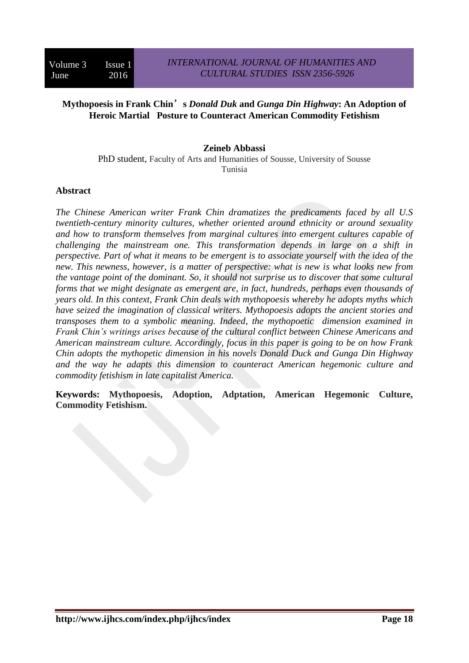# **Mythopoesis in Frank Chin**'**s** *Donald Duk* **and** *Gunga Din Highway***: An Adoption of Heroic Martial Posture to Counteract American Commodity Fetishism**

## **Zeineb Abbassi**

PhD student, Faculty of Arts and Humanities of Sousse, University of Sousse Tunisia

#### **Abstract**

*The Chinese American writer Frank Chin dramatizes the predicaments faced by all U.S twentieth-century minority cultures, whether oriented around ethnicity or around sexuality and how to transform themselves from marginal cultures into emergent cultures capable of challenging the mainstream one. This transformation depends in large on a shift in perspective. Part of what it means to be emergent is to associate yourself with the idea of the new. This newness, however, is a matter of perspective: what is new is what looks new from the vantage point of the dominant. So, it should not surprise us to discover that some cultural forms that we might designate as emergent are, in fact, hundreds, perhaps even thousands of years old. In this context, Frank Chin deals with mythopoesis whereby he adopts myths which have seized the imagination of classical writers. Mythopoesis adopts the ancient stories and transposes them to a symbolic meaning. Indeed, the mythopoetic dimension examined in Frank Chin's writings arises because of the cultural conflict between Chinese Americans and American mainstream culture. Accordingly, focus in this paper is going to be on how Frank Chin adopts the mythopetic dimension in his novels Donald Duck and Gunga Din Highway and the way he adapts this dimension to counteract American hegemonic culture and commodity fetishism in late capitalist America.*

**Keywords: Mythopoesis, Adoption, Adptation, American Hegemonic Culture, Commodity Fetishism.**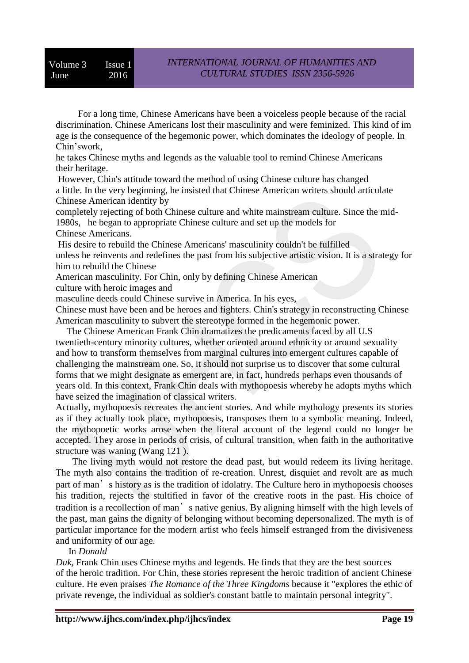For a long time, Chinese Americans have been a voiceless people because of the racial discrimination. Chinese Americans lost their masculinity and were feminized. This kind of im age is the consequence of the hegemonic power, which dominates the ideology of people. In Chin'swork,

he takes Chinese myths and legends as the valuable tool to remind Chinese Americans their heritage.

However, Chin's attitude toward the method of using Chinese culture has changed a little. In the very beginning, he insisted that Chinese American writers should articulate Chinese American identity by

completely rejecting of both Chinese culture and white mainstream culture. Since the mid-1980s, he began to appropriate Chinese culture and set up the models for Chinese Americans.

His desire to rebuild the Chinese Americans' masculinity couldn't be fulfilled unless he reinvents and redefines the past from his subjective artistic vision. It is a strategy for him to rebuild the Chinese

American masculinity. For Chin, only by defining Chinese American

culture with heroic images and

masculine deeds could Chinese survive in America. In his eyes,

Chinese must have been and be heroes and fighters. Chin's strategy in reconstructing Chinese American masculinity to subvert the stereotype formed in the hegemonic power.

The Chinese American Frank Chin dramatizes the predicaments faced by all U.S twentieth-century minority cultures, whether oriented around ethnicity or around sexuality and how to transform themselves from marginal cultures into emergent cultures capable of challenging the mainstream one. So, it should not surprise us to discover that some cultural forms that we might designate as emergent are, in fact, hundreds perhaps even thousands of years old. In this context, Frank Chin deals with mythopoesis whereby he adopts myths which have seized the imagination of classical writers.

Actually, mythopoesis recreates the ancient stories. And while mythology presents its stories as if they actually took place, mythopoesis, transposes them to a symbolic meaning. Indeed, the mythopoetic works arose when the literal account of the legend could no longer be accepted. They arose in periods of crisis, of cultural transition, when faith in the authoritative structure was waning (Wang 121 ).

 The living myth would not restore the dead past, but would redeem its living heritage. The myth also contains the tradition of re-creation. Unrest, disquiet and revolt are as much part of man's history as is the tradition of idolatry. The Culture hero in mythopoesis chooses his tradition, rejects the stultified in favor of the creative roots in the past. His choice of tradition is a recollection of man's native genius. By aligning himself with the high levels of the past, man gains the dignity of belonging without becoming depersonalized. The myth is of particular importance for the modern artist who feels himself estranged from the divisiveness and uniformity of our age.

In *Donald*

*Duk,* Frank Chin uses Chinese myths and legends. He finds that they are the best sources of the heroic tradition. For Chin, these stories represent the heroic tradition of ancient Chinese culture. He even praises *The Romance of the Three Kingdoms* because it "explores the ethic of private revenge, the individual as soldier's constant battle to maintain personal integrity".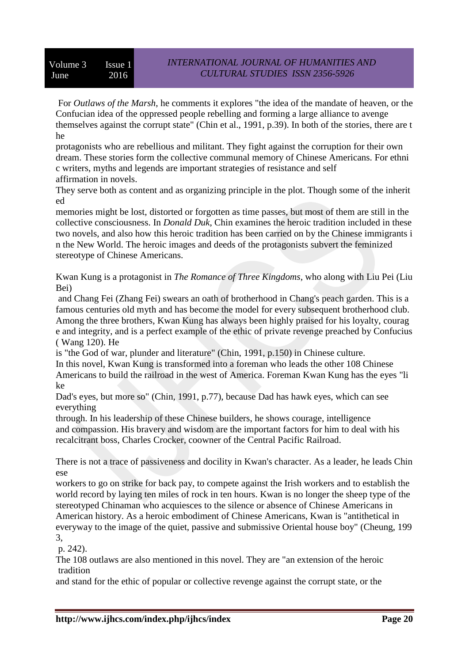For *Outlaws of the Marsh*, he comments it explores "the idea of the mandate of heaven, or the Confucian idea of the oppressed people rebelling and forming a large alliance to avenge themselves against the corrupt state" (Chin et al., 1991, p.39). In both of the stories, there are t he

protagonists who are rebellious and militant. They fight against the corruption for their own dream. These stories form the collective communal memory of Chinese Americans. For ethni c writers, myths and legends are important strategies of resistance and self affirmation in novels.

They serve both as content and as organizing principle in the plot. Though some of the inherit ed

memories might be lost, distorted or forgotten as time passes, but most of them are still in the collective consciousness. In *Donald Duk*, Chin examines the heroic tradition included in these two novels, and also how this heroic tradition has been carried on by the Chinese immigrants i n the New World. The heroic images and deeds of the protagonists subvert the feminized stereotype of Chinese Americans.

Kwan Kung is a protagonist in *The Romance of Three Kingdoms*, who along with Liu Pei (Liu Bei)

and Chang Fei (Zhang Fei) swears an oath of brotherhood in Chang's peach garden. This is a famous centuries old myth and has become the model for every subsequent brotherhood club. Among the three brothers, Kwan Kung has always been highly praised for his loyalty, courag e and integrity, and is a perfect example of the ethic of private revenge preached by Confucius ( Wang 120). He

is "the God of war, plunder and literature" (Chin, 1991, p.150) in Chinese culture.

In this novel, Kwan Kung is transformed into a foreman who leads the other 108 Chinese Americans to build the railroad in the west of America. Foreman Kwan Kung has the eyes "li ke

Dad's eyes, but more so" (Chin, 1991, p.77), because Dad has hawk eyes, which can see everything

through. In his leadership of these Chinese builders, he shows courage, intelligence and compassion. His bravery and wisdom are the important factors for him to deal with his recalcitrant boss, Charles Crocker, coowner of the Central Pacific Railroad.

There is not a trace of passiveness and docility in Kwan's character. As a leader, he leads Chin ese

workers to go on strike for back pay, to compete against the Irish workers and to establish the world record by laying ten miles of rock in ten hours. Kwan is no longer the sheep type of the stereotyped Chinaman who acquiesces to the silence or absence of Chinese Americans in American history. As a heroic embodiment of Chinese Americans, Kwan is "antithetical in everyway to the image of the quiet, passive and submissive Oriental house boy" (Cheung, 199 3,

p. 242).

The 108 outlaws are also mentioned in this novel. They are "an extension of the heroic tradition

and stand for the ethic of popular or collective revenge against the corrupt state, or the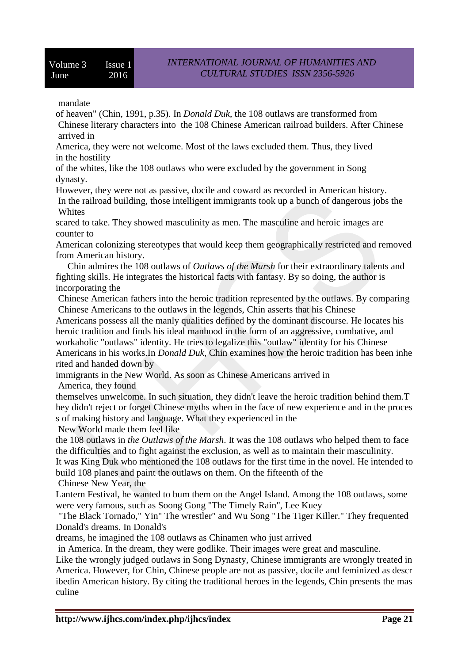#### mandate

of heaven" (Chin, 1991, p.35). In *Donald Duk*, the 108 outlaws are transformed from Chinese literary characters into the 108 Chinese American railroad builders. After Chinese arrived in

America, they were not welcome. Most of the laws excluded them. Thus, they lived in the hostility

of the whites, like the 108 outlaws who were excluded by the government in Song dynasty.

However, they were not as passive, docile and coward as recorded in American history. In the railroad building, those intelligent immigrants took up a bunch of dangerous jobs the Whites

scared to take. They showed masculinity as men. The masculine and heroic images are counter to

American colonizing stereotypes that would keep them geographically restricted and removed from American history.

 Chin admires the 108 outlaws of *Outlaws of the Marsh* for their extraordinary talents and fighting skills. He integrates the historical facts with fantasy. By so doing, the author is incorporating the

Chinese American fathers into the heroic tradition represented by the outlaws. By comparing Chinese Americans to the outlaws in the legends, Chin asserts that his Chinese

Americans possess all the manly qualities defined by the dominant discourse. He locates his heroic tradition and finds his ideal manhood in the form of an aggressive, combative, and workaholic "outlaws" identity. He tries to legalize this "outlaw" identity for his Chinese Americans in his works.In *Donald Duk*, Chin examines how the heroic tradition has been inhe rited and handed down by

immigrants in the New World. As soon as Chinese Americans arrived in America, they found

themselves unwelcome. In such situation, they didn't leave the heroic tradition behind them.T hey didn't reject or forget Chinese myths when in the face of new experience and in the proces s of making history and language. What they experienced in the

New World made them feel like

the 108 outlaws in *the Outlaws of the Marsh*. It was the 108 outlaws who helped them to face the difficulties and to fight against the exclusion, as well as to maintain their masculinity.

It was King Duk who mentioned the 108 outlaws for the first time in the novel. He intended to build 108 planes and paint the outlaws on them. On the fifteenth of the

Chinese New Year, the

Lantern Festival, he wanted to bum them on the Angel Island. Among the 108 outlaws, some were very famous, such as Soong Gong "The Timely Rain", Lee Kuey

"The Black Tornado," Yin" The wrestler" and Wu Song "The Tiger Killer." They frequented Donald's dreams. In Donald's

dreams, he imagined the 108 outlaws as Chinamen who just arrived

in America. In the dream, they were godlike. Their images were great and masculine.

Like the wrongly judged outlaws in Song Dynasty, Chinese immigrants are wrongly treated in America. However, for Chin, Chinese people are not as passive, docile and feminized as descr ibedin American history. By citing the traditional heroes in the legends, Chin presents the mas culine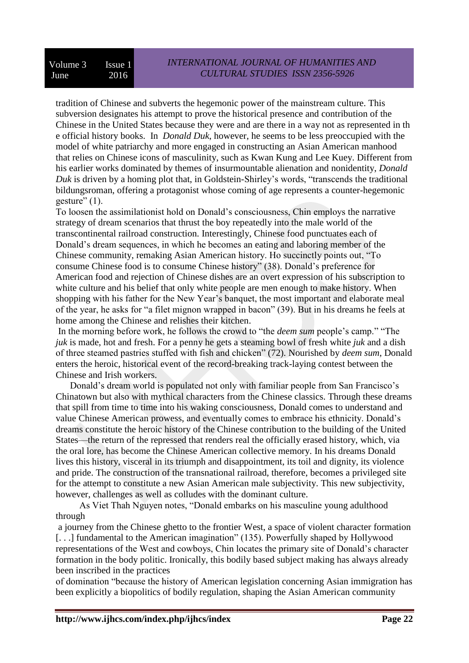tradition of Chinese and subverts the hegemonic power of the mainstream culture. This subversion designates his attempt to prove the historical presence and contribution of the Chinese in the United States because they were and are there in a way not as represented in th e official history books. In *Donald Duk*, however, he seems to be less preoccupied with the model of white patriarchy and more engaged in constructing an Asian American manhood that relies on Chinese icons of masculinity, such as Kwan Kung and Lee Kuey. Different from his earlier works dominated by themes of insurmountable alienation and nonidentity, *Donald Duk* is driven by a homing plot that, in Goldstein-Shirley's words, "transcends the traditional bildungsroman, offering a protagonist whose coming of age represents a counter-hegemonic gesture"  $(1)$ .

To loosen the assimilationist hold on Donald's consciousness, Chin employs the narrative strategy of dream scenarios that thrust the boy repeatedly into the male world of the transcontinental railroad construction. Interestingly, Chinese food punctuates each of Donald's dream sequences, in which he becomes an eating and laboring member of the Chinese community, remaking Asian American history. Ho succinctly points out, "To consume Chinese food is to consume Chinese history" (38). Donald's preference for American food and rejection of Chinese dishes are an overt expression of his subscription to white culture and his belief that only white people are men enough to make history. When shopping with his father for the New Year's banquet, the most important and elaborate meal of the year, he asks for "a filet mignon wrapped in bacon" (39). But in his dreams he feels at home among the Chinese and relishes their kitchen.

In the morning before work, he follows the crowd to "the *deem sum* people's camp." "The *juk* is made, hot and fresh. For a penny he gets a steaming bowl of fresh white *juk* and a dish of three steamed pastries stuffed with fish and chicken" (72). Nourished by *deem sum*, Donald enters the heroic, historical event of the record-breaking track-laying contest between the Chinese and Irish workers.

 Donald's dream world is populated not only with familiar people from San Francisco's Chinatown but also with mythical characters from the Chinese classics. Through these dreams that spill from time to time into his waking consciousness, Donald comes to understand and value Chinese American prowess, and eventually comes to embrace his ethnicity. Donald's dreams constitute the heroic history of the Chinese contribution to the building of the United States—the return of the repressed that renders real the officially erased history, which, via the oral lore, has become the Chinese American collective memory. In his dreams Donald lives this history, visceral in its triumph and disappointment, its toil and dignity, its violence and pride. The construction of the transnational railroad, therefore, becomes a privileged site for the attempt to constitute a new Asian American male subjectivity. This new subjectivity, however, challenges as well as colludes with the dominant culture.

 As Viet Thah Nguyen notes, "Donald embarks on his masculine young adulthood through

a journey from the Chinese ghetto to the frontier West, a space of violent character formation [...] fundamental to the American imagination" (135). Powerfully shaped by Hollywood representations of the West and cowboys, Chin locates the primary site of Donald's character formation in the body politic. Ironically, this bodily based subject making has always already been inscribed in the practices

of domination "because the history of American legislation concerning Asian immigration has been explicitly a biopolitics of bodily regulation, shaping the Asian American community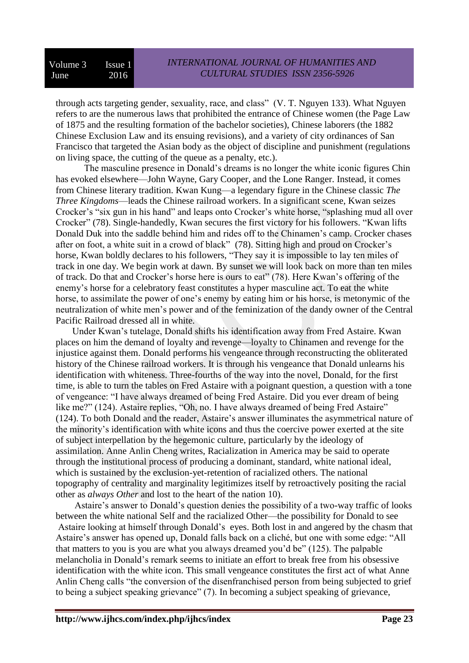through acts targeting gender, sexuality, race, and class" (V. T. Nguyen 133). What Nguyen refers to are the numerous laws that prohibited the entrance of Chinese women (the Page Law of 1875 and the resulting formation of the bachelor societies), Chinese laborers (the 1882 Chinese Exclusion Law and its ensuing revisions), and a variety of city ordinances of San Francisco that targeted the Asian body as the object of discipline and punishment (regulations on living space, the cutting of the queue as a penalty, etc.).

 The masculine presence in Donald's dreams is no longer the white iconic figures Chin has evoked elsewhere—John Wayne, Gary Cooper, and the Lone Ranger. Instead, it comes from Chinese literary tradition. Kwan Kung—a legendary figure in the Chinese classic *The Three Kingdoms*—leads the Chinese railroad workers. In a significant scene, Kwan seizes Crocker's "six gun in his hand" and leaps onto Crocker's white horse, "splashing mud all over Crocker" (78). Single-handedly, Kwan secures the first victory for his followers. "Kwan lifts Donald Duk into the saddle behind him and rides off to the Chinamen's camp. Crocker chases after on foot, a white suit in a crowd of black" (78). Sitting high and proud on Crocker's horse, Kwan boldly declares to his followers, "They say it is impossible to lay ten miles of track in one day. We begin work at dawn. By sunset we will look back on more than ten miles of track. Do that and Crocker's horse here is ours to eat" (78). Here Kwan's offering of the enemy's horse for a celebratory feast constitutes a hyper masculine act. To eat the white horse, to assimilate the power of one's enemy by eating him or his horse, is metonymic of the neutralization of white men's power and of the feminization of the dandy owner of the Central Pacific Railroad dressed all in white.

 Under Kwan's tutelage, Donald shifts his identification away from Fred Astaire. Kwan places on him the demand of loyalty and revenge—loyalty to Chinamen and revenge for the injustice against them. Donald performs his vengeance through reconstructing the obliterated history of the Chinese railroad workers. It is through his vengeance that Donald unlearns his identification with whiteness. Three-fourths of the way into the novel, Donald, for the first time, is able to turn the tables on Fred Astaire with a poignant question, a question with a tone of vengeance: "I have always dreamed of being Fred Astaire. Did you ever dream of being like me?" (124). Astaire replies, "Oh, no. I have always dreamed of being Fred Astaire" (124). To both Donald and the reader, Astaire's answer illuminates the asymmetrical nature of the minority's identification with white icons and thus the coercive power exerted at the site of subject interpellation by the hegemonic culture, particularly by the ideology of assimilation. Anne Anlin Cheng writes, Racialization in America may be said to operate through the institutional process of producing a dominant, standard, white national ideal, which is sustained by the exclusion-yet-retention of racialized others. The national topography of centrality and marginality legitimizes itself by retroactively positing the racial other as *always Other* and lost to the heart of the nation 10).

 Astaire's answer to Donald's question denies the possibility of a two-way traffic of looks between the white national Self and the racialized Other—the possibility for Donald to see Astaire looking at himself through Donald's eyes. Both lost in and angered by the chasm that Astaire's answer has opened up, Donald falls back on a cliché, but one with some edge: "All that matters to you is you are what you always dreamed you'd be" (125). The palpable melancholia in Donald's remark seems to initiate an effort to break free from his obsessive identification with the white icon. This small vengeance constitutes the first act of what Anne Anlin Cheng calls "the conversion of the disenfranchised person from being subjected to grief to being a subject speaking grievance" (7). In becoming a subject speaking of grievance,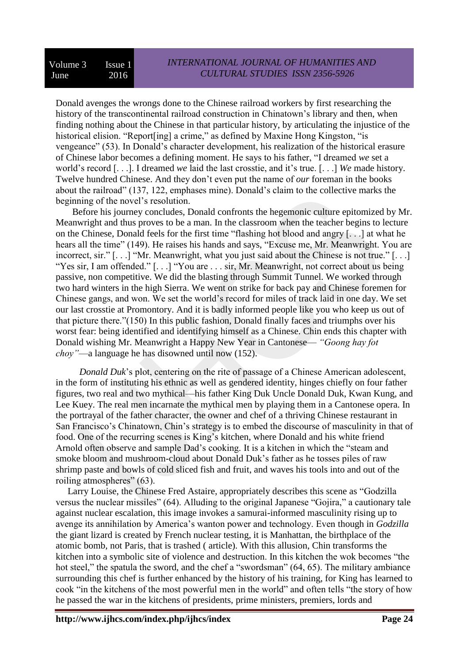Donald avenges the wrongs done to the Chinese railroad workers by first researching the history of the transcontinental railroad construction in Chinatown's library and then, when finding nothing about the Chinese in that particular history, by articulating the injustice of the historical elision. "Report[ing] a crime," as defined by Maxine Hong Kingston, "is vengeance" (53). In Donald's character development, his realization of the historical erasure of Chinese labor becomes a defining moment. He says to his father, "I dreamed *we* set a world's record [. . .]. I dreamed *we* laid the last crosstie, and it's true. [. . .] *We* made history. Twelve hundred Chinese. And they don't even put the name of *our* foreman in the books about the railroad" (137, 122, emphases mine). Donald's claim to the collective marks the beginning of the novel's resolution.

 Before his journey concludes, Donald confronts the hegemonic culture epitomized by Mr. Meanwright and thus proves to be a man. In the classroom when the teacher begins to lecture on the Chinese, Donald feels for the first time "flashing hot blood and angry [. . .] at what he hears all the time" (149). He raises his hands and says, "Excuse me, Mr. Meanwright. You are incorrect, sir." [...] "Mr. Meanwright, what you just said about the Chinese is not true." [...] "Yes sir, I am offended." [...] "You are ... sir, Mr. Meanwright, not correct about us being passive, non competitive. We did the blasting through Summit Tunnel. We worked through two hard winters in the high Sierra. We went on strike for back pay and Chinese foremen for Chinese gangs, and won. We set the world's record for miles of track laid in one day. We set our last crosstie at Promontory. And it is badly informed people like you who keep us out of that picture there."(150) In this public fashion, Donald finally faces and triumphs over his worst fear: being identified and identifying himself as a Chinese. Chin ends this chapter with Donald wishing Mr. Meanwright a Happy New Year in Cantonese— *"Goong hay fot choy"*—a language he has disowned until now (152).

 *Donald Duk*'s plot, centering on the rite of passage of a Chinese American adolescent, in the form of instituting his ethnic as well as gendered identity, hinges chiefly on four father figures, two real and two mythical—his father King Duk Uncle Donald Duk, Kwan Kung, and Lee Kuey. The real men incarnate the mythical men by playing them in a Cantonese opera. In the portrayal of the father character, the owner and chef of a thriving Chinese restaurant in San Francisco's Chinatown, Chin's strategy is to embed the discourse of masculinity in that of food. One of the recurring scenes is King's kitchen, where Donald and his white friend Arnold often observe and sample Dad's cooking. It is a kitchen in which the "steam and smoke bloom and mushroom-cloud about Donald Duk's father as he tosses piles of raw shrimp paste and bowls of cold sliced fish and fruit, and waves his tools into and out of the roiling atmospheres" (63).

 Larry Louise, the Chinese Fred Astaire, appropriately describes this scene as "Godzilla versus the nuclear missiles" (64). Alluding to the original Japanese "Gojira," a cautionary tale against nuclear escalation, this image invokes a samurai-informed masculinity rising up to avenge its annihilation by America's wanton power and technology. Even though in *Godzilla*  the giant lizard is created by French nuclear testing, it is Manhattan, the birthplace of the atomic bomb, not Paris, that is trashed ( article). With this allusion, Chin transforms the kitchen into a symbolic site of violence and destruction. In this kitchen the wok becomes "the hot steel," the spatula the sword, and the chef a "swordsman" (64, 65). The military ambiance surrounding this chef is further enhanced by the history of his training, for King has learned to cook "in the kitchens of the most powerful men in the world" and often tells "the story of how he passed the war in the kitchens of presidents, prime ministers, premiers, lords and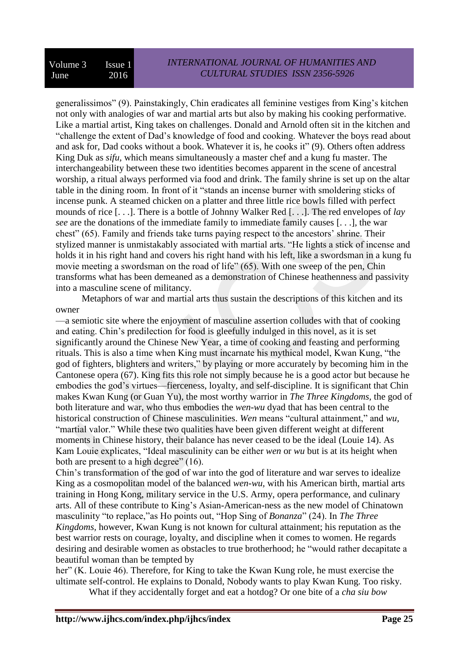generalissimos" (9). Painstakingly, Chin eradicates all feminine vestiges from King's kitchen not only with analogies of war and martial arts but also by making his cooking performative. Like a martial artist, King takes on challenges. Donald and Arnold often sit in the kitchen and "challenge the extent of Dad's knowledge of food and cooking. Whatever the boys read about and ask for, Dad cooks without a book. Whatever it is, he cooks it" (9). Others often address King Duk as *sifu,* which means simultaneously a master chef and a kung fu master. The interchangeability between these two identities becomes apparent in the scene of ancestral worship, a ritual always performed via food and drink. The family shrine is set up on the altar table in the dining room. In front of it "stands an incense burner with smoldering sticks of incense punk. A steamed chicken on a platter and three little rice bowls filled with perfect mounds of rice [. . .]. There is a bottle of Johnny Walker Red [. . .]. The red envelopes of *lay see* are the donations of the immediate family to immediate family causes [. . .], the war chest" (65). Family and friends take turns paying respect to the ancestors' shrine. Their stylized manner is unmistakably associated with martial arts. "He lights a stick of incense and holds it in his right hand and covers his right hand with his left, like a swordsman in a kung fu movie meeting a swordsman on the road of life" (65). With one sweep of the pen, Chin transforms what has been demeaned as a demonstration of Chinese heathenness and passivity into a masculine scene of militancy.

 Metaphors of war and martial arts thus sustain the descriptions of this kitchen and its owner

—a semiotic site where the enjoyment of masculine assertion colludes with that of cooking and eating. Chin's predilection for food is gleefully indulged in this novel, as it is set significantly around the Chinese New Year, a time of cooking and feasting and performing rituals. This is also a time when King must incarnate his mythical model, Kwan Kung, "the god of fighters, blighters and writers," by playing or more accurately by becoming him in the Cantonese opera (67). King fits this role not simply because he is a good actor but because he embodies the god's virtues—fierceness, loyalty, and self-discipline. It is significant that Chin makes Kwan Kung (or Guan Yu), the most worthy warrior in *The Three Kingdoms,* the god of both literature and war, who thus embodies the *wen-wu* dyad that has been central to the historical construction of Chinese masculinities. *Wen* means "cultural attainment." and *wu*. "martial valor." While these two qualities have been given different weight at different moments in Chinese history, their balance has never ceased to be the ideal (Louie 14). As Kam Louie explicates, "Ideal masculinity can be either *wen* or *wu* but is at its height when both are present to a high degree" (16).

Chin's transformation of the god of war into the god of literature and war serves to idealize King as a cosmopolitan model of the balanced *wen-wu,* with his American birth, martial arts training in Hong Kong, military service in the U.S. Army, opera performance, and culinary arts. All of these contribute to King's Asian-American-ness as the new model of Chinatown masculinity "to replace,"as Ho points out, "Hop Sing of *Bonanza*" (24). In *The Three Kingdoms,* however, Kwan Kung is not known for cultural attainment; his reputation as the best warrior rests on courage, loyalty, and discipline when it comes to women. He regards desiring and desirable women as obstacles to true brotherhood; he "would rather decapitate a beautiful woman than be tempted by

her" (K. Louie 46). Therefore, for King to take the Kwan Kung role, he must exercise the ultimate self-control. He explains to Donald, Nobody wants to play Kwan Kung. Too risky. What if they accidentally forget and eat a hotdog? Or one bite of a *cha siu bow*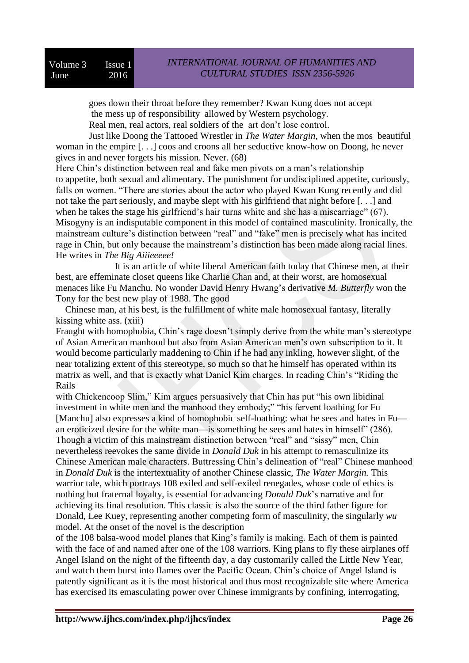goes down their throat before they remember? Kwan Kung does not accept the mess up of responsibility allowed by Western psychology. Real men, real actors, real soldiers of the art don't lose control.

 Just like Doong the Tattooed Wrestler in *The Water Margin,* when the mos beautiful woman in the empire [. . .] coos and croons all her seductive know-how on Doong, he never gives in and never forgets his mission. Never. (68)

Here Chin's distinction between real and fake men pivots on a man's relationship to appetite, both sexual and alimentary. The punishment for undisciplined appetite, curiously, falls on women. "There are stories about the actor who played Kwan Kung recently and did not take the part seriously, and maybe slept with his girlfriend that night before [. . .] and when he takes the stage his girlfriend's hair turns white and she has a miscarriage" (67). Misogyny is an indisputable component in this model of contained masculinity. Ironically, the mainstream culture's distinction between "real" and "fake" men is precisely what has incited rage in Chin, but only because the mainstream's distinction has been made along racial lines. He writes in *The Big Aiiieeeee!*

 It is an article of white liberal American faith today that Chinese men, at their best, are effeminate closet queens like Charlie Chan and, at their worst, are homosexual menaces like Fu Manchu. No wonder David Henry Hwang's derivative *M. Butterfly* won the Tony for the best new play of 1988. The good

 Chinese man, at his best, is the fulfillment of white male homosexual fantasy, literally kissing white ass. (xiii)

Fraught with homophobia, Chin's rage doesn't simply derive from the white man's stereotype of Asian American manhood but also from Asian American men's own subscription to it. It would become particularly maddening to Chin if he had any inkling, however slight, of the near totalizing extent of this stereotype, so much so that he himself has operated within its matrix as well, and that is exactly what Daniel Kim charges. In reading Chin's "Riding the Rails

with Chickencoop Slim," Kim argues persuasively that Chin has put "his own libidinal investment in white men and the manhood they embody;" "his fervent loathing for Fu [Manchu] also expresses a kind of homophobic self-loathing: what he sees and hates in Fu an eroticized desire for the white man—is something he sees and hates in himself" (286). Though a victim of this mainstream distinction between "real" and "sissy" men, Chin nevertheless reevokes the same divide in *Donald Duk* in his attempt to remasculinize its Chinese American male characters. Buttressing Chin's delineation of "real" Chinese manhood in *Donald Duk* is the intertextuality of another Chinese classic, *The Water Margin.* This warrior tale, which portrays 108 exiled and self-exiled renegades, whose code of ethics is nothing but fraternal loyalty, is essential for advancing *Donald Duk*'s narrative and for achieving its final resolution. This classic is also the source of the third father figure for Donald, Lee Kuey, representing another competing form of masculinity, the singularly *wu*  model. At the onset of the novel is the description

of the 108 balsa-wood model planes that King's family is making. Each of them is painted with the face of and named after one of the 108 warriors. King plans to fly these airplanes off Angel Island on the night of the fifteenth day, a day customarily called the Little New Year, and watch them burst into flames over the Pacific Ocean. Chin's choice of Angel Island is patently significant as it is the most historical and thus most recognizable site where America has exercised its emasculating power over Chinese immigrants by confining, interrogating,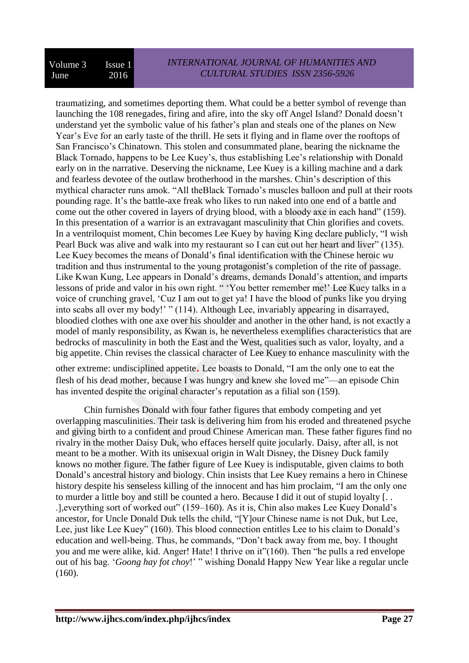traumatizing, and sometimes deporting them. What could be a better symbol of revenge than launching the 108 renegades, firing and afire, into the sky off Angel Island? Donald doesn't understand yet the symbolic value of his father's plan and steals one of the planes on New Year's Eve for an early taste of the thrill. He sets it flying and in flame over the rooftops of San Francisco's Chinatown. This stolen and consummated plane, bearing the nickname the Black Tornado, happens to be Lee Kuey's, thus establishing Lee's relationship with Donald early on in the narrative. Deserving the nickname, Lee Kuey is a killing machine and a dark and fearless devotee of the outlaw brotherhood in the marshes. Chin's description of this mythical character runs amok. "All theBlack Tornado's muscles balloon and pull at their roots pounding rage. It's the battle-axe freak who likes to run naked into one end of a battle and come out the other covered in layers of drying blood, with a bloody axe in each hand" (159). In this presentation of a warrior is an extravagant masculinity that Chin glorifies and covets. In a ventriloquist moment, Chin becomes Lee Kuey by having King declare publicly, "I wish Pearl Buck was alive and walk into my restaurant so I can cut out her heart and liver" (135). Lee Kuey becomes the means of Donald's final identification with the Chinese heroic *wu*  tradition and thus instrumental to the young protagonist's completion of the rite of passage. Like Kwan Kung, Lee appears in Donald's dreams, demands Donald's attention, and imparts lessons of pride and valor in his own right. " 'You better remember me!' Lee Kuey talks in a voice of crunching gravel, 'Cuz I am out to get ya! I have the blood of punks like you drying into scabs all over my body!' " (114). Although Lee, invariably appearing in disarrayed, bloodied clothes with one axe over his shoulder and another in the other hand, is not exactly a model of manly responsibility, as Kwan is, he nevertheless exemplifies characteristics that are bedrocks of masculinity in both the East and the West, qualities such as valor, loyalty, and a big appetite. Chin revises the classical character of Lee Kuey to enhance masculinity with the

other extreme: undisciplined appetite. Lee boasts to Donald, "I am the only one to eat the flesh of his dead mother, because I was hungry and knew she loved me"—an episode Chin has invented despite the original character's reputation as a filial son (159).

 Chin furnishes Donald with four father figures that embody competing and yet overlapping masculinities. Their task is delivering him from his eroded and threatened psyche and giving birth to a confident and proud Chinese American man. These father figures find no rivalry in the mother Daisy Duk, who effaces herself quite jocularly. Daisy, after all, is not meant to be a mother. With its unisexual origin in Walt Disney, the Disney Duck family knows no mother figure. The father figure of Lee Kuey is indisputable, given claims to both Donald's ancestral history and biology. Chin insists that Lee Kuey remains a hero in Chinese history despite his senseless killing of the innocent and has him proclaim, "I am the only one to murder a little boy and still be counted a hero. Because I did it out of stupid loyalty [. . .],everything sort of worked out" (159–160). As it is, Chin also makes Lee Kuey Donald's ancestor, for Uncle Donald Duk tells the child, "[Y]our Chinese name is not Duk, but Lee, Lee, just like Lee Kuey" (160). This blood connection entitles Lee to his claim to Donald's education and well-being. Thus, he commands, "Don't back away from me, boy. I thought you and me were alike, kid. Anger! Hate! I thrive on it"(160). Then "he pulls a red envelope out of his bag. '*Goong hay fot choy*!' " wishing Donald Happy New Year like a regular uncle (160).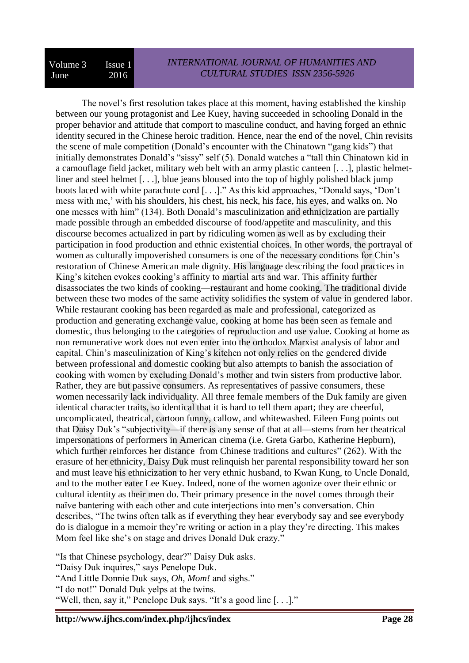The novel's first resolution takes place at this moment, having established the kinship between our young protagonist and Lee Kuey, having succeeded in schooling Donald in the proper behavior and attitude that comport to masculine conduct, and having forged an ethnic identity secured in the Chinese heroic tradition. Hence, near the end of the novel, Chin revisits the scene of male competition (Donald's encounter with the Chinatown "gang kids") that initially demonstrates Donald's "sissy" self (5). Donald watches a "tall thin Chinatown kid in a camouflage field jacket, military web belt with an army plastic canteen [. . .], plastic helmetliner and steel helmet [...], blue jeans bloused into the top of highly polished black jump boots laced with white parachute cord [. . .]." As this kid approaches, "Donald says, 'Don't mess with me,' with his shoulders, his chest, his neck, his face, his eyes, and walks on. No one messes with him" (134). Both Donald's masculinization and ethnicization are partially made possible through an embedded discourse of food/appetite and masculinity, and this discourse becomes actualized in part by ridiculing women as well as by excluding their participation in food production and ethnic existential choices. In other words, the portrayal of women as culturally impoverished consumers is one of the necessary conditions for Chin's restoration of Chinese American male dignity. His language describing the food practices in King's kitchen evokes cooking's affinity to martial arts and war. This affinity further disassociates the two kinds of cooking—restaurant and home cooking. The traditional divide between these two modes of the same activity solidifies the system of value in gendered labor. While restaurant cooking has been regarded as male and professional, categorized as production and generating exchange value, cooking at home has been seen as female and domestic, thus belonging to the categories of reproduction and use value. Cooking at home as non remunerative work does not even enter into the orthodox Marxist analysis of labor and capital. Chin's masculinization of King's kitchen not only relies on the gendered divide between professional and domestic cooking but also attempts to banish the association of cooking with women by excluding Donald's mother and twin sisters from productive labor. Rather, they are but passive consumers. As representatives of passive consumers, these women necessarily lack individuality. All three female members of the Duk family are given identical character traits, so identical that it is hard to tell them apart; they are cheerful, uncomplicated, theatrical, cartoon funny, callow, and whitewashed. Eileen Fung points out that Daisy Duk's "subjectivity—if there is any sense of that at all—stems from her theatrical impersonations of performers in American cinema (i.e. Greta Garbo, Katherine Hepburn), which further reinforces her distance from Chinese traditions and cultures" (262). With the erasure of her ethnicity, Daisy Duk must relinquish her parental responsibility toward her son and must leave his ethnicization to her very ethnic husband, to Kwan Kung, to Uncle Donald, and to the mother eater Lee Kuey. Indeed, none of the women agonize over their ethnic or cultural identity as their men do. Their primary presence in the novel comes through their naïve bantering with each other and cute interjections into men's conversation. Chin describes, "The twins often talk as if everything they hear everybody say and see everybody do is dialogue in a memoir they're writing or action in a play they're directing. This makes Mom feel like she's on stage and drives Donald Duk crazy."

"Is that Chinese psychology, dear?" Daisy Duk asks.

- "Daisy Duk inquires," says Penelope Duk.
- "And Little Donnie Duk says, *Oh, Mom!* and sighs."
- "I do not!" Donald Duk yelps at the twins.

"Well, then, say it," Penelope Duk says. "It's a good line [. . .]."

**http://www.ijhcs.com/index.php/ijhcs/index Page 28**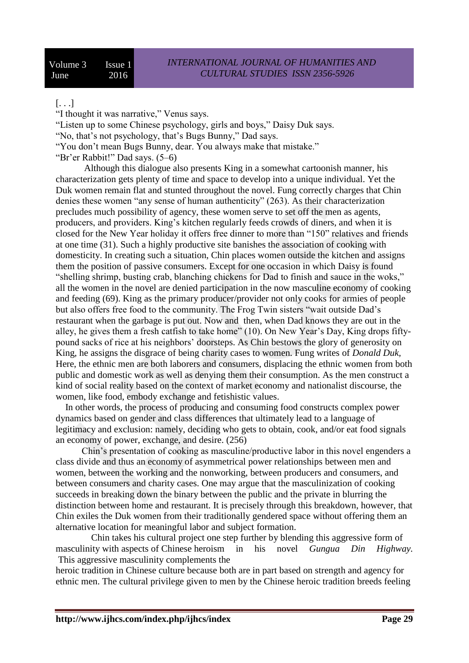#### [. . .]

"I thought it was narrative," Venus says.

"Listen up to some Chinese psychology, girls and boys," Daisy Duk says.

"No, that's not psychology, that's Bugs Bunny," Dad says.

"You don't mean Bugs Bunny, dear. You always make that mistake."

"Br'er Rabbit!" Dad says. (5–6)

 Although this dialogue also presents King in a somewhat cartoonish manner, his characterization gets plenty of time and space to develop into a unique individual. Yet the Duk women remain flat and stunted throughout the novel. Fung correctly charges that Chin denies these women "any sense of human authenticity" (263). As their characterization precludes much possibility of agency, these women serve to set off the men as agents, producers, and providers. King's kitchen regularly feeds crowds of diners, and when it is closed for the New Year holiday it offers free dinner to more than "150" relatives and friends at one time (31). Such a highly productive site banishes the association of cooking with domesticity. In creating such a situation, Chin places women outside the kitchen and assigns them the position of passive consumers. Except for one occasion in which Daisy is found "shelling shrimp, busting crab, blanching chickens for Dad to finish and sauce in the woks," all the women in the novel are denied participation in the now masculine economy of cooking and feeding (69). King as the primary producer/provider not only cooks for armies of people but also offers free food to the community. The Frog Twin sisters "wait outside Dad's restaurant when the garbage is put out. Now and then, when Dad knows they are out in the alley, he gives them a fresh catfish to take home" (10). On New Year's Day, King drops fiftypound sacks of rice at his neighbors' doorsteps. As Chin bestows the glory of generosity on King, he assigns the disgrace of being charity cases to women. Fung writes of *Donald Duk,* Here, the ethnic men are both laborers and consumers, displacing the ethnic women from both public and domestic work as well as denying them their consumption. As the men construct a kind of social reality based on the context of market economy and nationalist discourse, the women, like food, embody exchange and fetishistic values.

 In other words, the process of producing and consuming food constructs complex power dynamics based on gender and class differences that ultimately lead to a language of legitimacy and exclusion: namely, deciding who gets to obtain, cook, and/or eat food signals an economy of power, exchange, and desire. (256)

 Chin's presentation of cooking as masculine/productive labor in this novel engenders a class divide and thus an economy of asymmetrical power relationships between men and women, between the working and the nonworking, between producers and consumers, and between consumers and charity cases. One may argue that the masculinization of cooking succeeds in breaking down the binary between the public and the private in blurring the distinction between home and restaurant. It is precisely through this breakdown, however, that Chin exiles the Duk women from their traditionally gendered space without offering them an alternative location for meaningful labor and subject formation.

 Chin takes his cultural project one step further by blending this aggressive form of masculinity with aspects of Chinese heroism in his novel *Gungua Din Highway.* This aggressive masculinity complements the

heroic tradition in Chinese culture because both are in part based on strength and agency for ethnic men. The cultural privilege given to men by the Chinese heroic tradition breeds feeling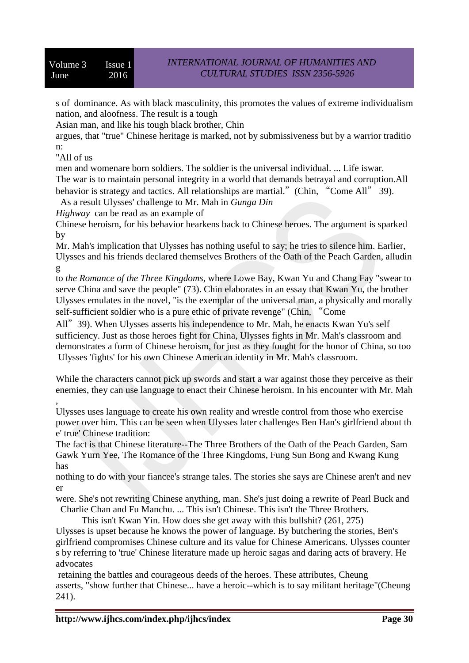s of dominance. As with black masculinity, this promotes the values of extreme individualism nation, and aloofness. The result is a tough

Asian man, and like his tough black brother, Chin

argues, that "true" Chinese heritage is marked, not by submissiveness but by a warrior traditio n:

"All of us

men and womenare born soldiers. The soldier is the universal individual. ... Life iswar. The war is to maintain personal integrity in a world that demands betrayal and corruption.All behavior is strategy and tactics. All relationships are martial." (Chin, "Come All" 39).

As a result Ulysses' challenge to Mr. Mah in *Gunga Din* 

*Highway* can be read as an example of

Chinese heroism, for his behavior hearkens back to Chinese heroes. The argument is sparked by

Mr. Mah's implication that Ulysses has nothing useful to say; he tries to silence him. Earlier, Ulysses and his friends declared themselves Brothers of the Oath of the Peach Garden, alludin g

to *the Romance of the Three Kingdoms*, where Lowe Bay, Kwan Yu and Chang Fay "swear to serve China and save the people" (73). Chin elaborates in an essay that Kwan Yu, the brother Ulysses emulates in the novel, "is the exemplar of the universal man, a physically and morally self-sufficient soldier who is a pure ethic of private revenge" (Chin, "Come

All"39). When Ulysses asserts his independence to Mr. Mah, he enacts Kwan Yu's self sufficiency. Just as those heroes fight for China, Ulysses fights in Mr. Mah's classroom and demonstrates a form of Chinese heroism, for just as they fought for the honor of China, so too Ulysses 'fights' for his own Chinese American identity in Mr. Mah's classroom.

While the characters cannot pick up swords and start a war against those they perceive as their enemies, they can use language to enact their Chinese heroism. In his encounter with Mr. Mah ,

Ulysses uses language to create his own reality and wrestle control from those who exercise power over him. This can be seen when Ulysses later challenges Ben Han's girlfriend about th e' true' Chinese tradition:

The fact is that Chinese literature--The Three Brothers of the Oath of the Peach Garden, Sam Gawk Yurn Yee, The Romance of the Three Kingdoms, Fung Sun Bong and Kwang Kung has

nothing to do with your fiancee's strange tales. The stories she says are Chinese aren't and nev er

were. She's not rewriting Chinese anything, man. She's just doing a rewrite of Pearl Buck and Charlie Chan and Fu Manchu. ... This isn't Chinese. This isn't the Three Brothers.

This isn't Kwan Yin. How does she get away with this bullshit? (261, 275)

Ulysses is upset because he knows the power of language. By butchering the stories, Ben's girlfriend compromises Chinese culture and its value for Chinese Americans. Ulysses counter s by referring to 'true' Chinese literature made up heroic sagas and daring acts of bravery. He advocates

retaining the battles and courageous deeds of the heroes. These attributes, Cheung asserts, "show further that Chinese... have a heroic--which is to say militant heritage"(Cheung 241).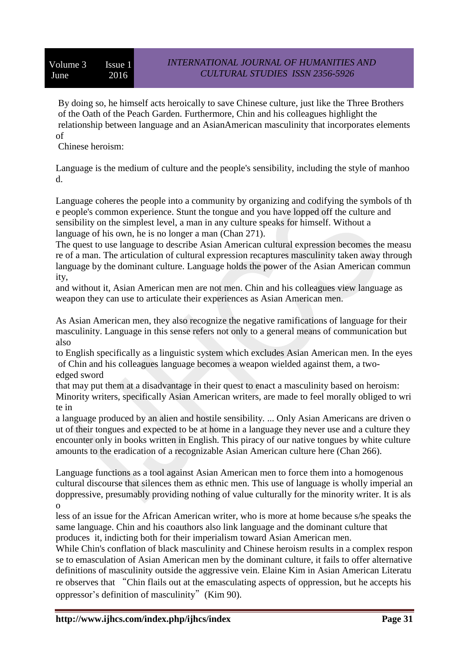By doing so, he himself acts heroically to save Chinese culture, just like the Three Brothers of the Oath of the Peach Garden. Furthermore, Chin and his colleagues highlight the relationship between language and an AsianAmerican masculinity that incorporates elements of

Chinese heroism:

Language is the medium of culture and the people's sensibility, including the style of manhoo d.

Language coheres the people into a community by organizing and codifying the symbols of th e people's common experience. Stunt the tongue and you have lopped off the culture and sensibility on the simplest level, a man in any culture speaks for himself. Without a language of his own, he is no longer a man (Chan 271).

The quest to use language to describe Asian American cultural expression becomes the measu re of a man. The articulation of cultural expression recaptures masculinity taken away through language by the dominant culture. Language holds the power of the Asian American commun ity,

and without it, Asian American men are not men. Chin and his colleagues view language as weapon they can use to articulate their experiences as Asian American men.

As Asian American men, they also recognize the negative ramifications of language for their masculinity. Language in this sense refers not only to a general means of communication but also

to English specifically as a linguistic system which excludes Asian American men. In the eyes of Chin and his colleagues language becomes a weapon wielded against them, a twoedged sword

that may put them at a disadvantage in their quest to enact a masculinity based on heroism: Minority writers, specifically Asian American writers, are made to feel morally obliged to wri te in

a language produced by an alien and hostile sensibility. ... Only Asian Americans are driven o ut of their tongues and expected to be at home in a language they never use and a culture they encounter only in books written in English. This piracy of our native tongues by white culture amounts to the eradication of a recognizable Asian American culture here (Chan 266).

Language functions as a tool against Asian American men to force them into a homogenous cultural discourse that silences them as ethnic men. This use of language is wholly imperial an doppressive, presumably providing nothing of value culturally for the minority writer. It is als o

less of an issue for the African American writer, who is more at home because s/he speaks the same language. Chin and his coauthors also link language and the dominant culture that produces it, indicting both for their imperialism toward Asian American men.

While Chin's conflation of black masculinity and Chinese heroism results in a complex respon se to emasculation of Asian American men by the dominant culture, it fails to offer alternative definitions of masculinity outside the aggressive vein. Elaine Kim in Asian American Literatu re observes that "Chin flails out at the emasculating aspects of oppression, but he accepts his oppressor's definition of masculinity"(Kim 90).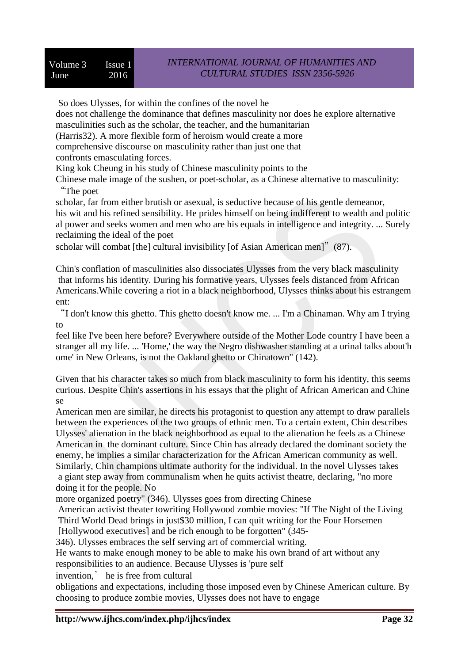So does Ulysses, for within the confines of the novel he

does not challenge the dominance that defines masculinity nor does he explore alternative masculinities such as the scholar, the teacher, and the humanitarian

(Harris32). A more flexible form of heroism would create a more

comprehensive discourse on masculinity rather than just one that confronts emasculating forces.

King kok Cheung in his study of Chinese masculinity points to the

Chinese male image of the sushen, or poet-scholar, as a Chinese alternative to masculinity: "The poet

scholar, far from either brutish or asexual, is seductive because of his gentle demeanor, his wit and his refined sensibility. He prides himself on being indifferent to wealth and politic al power and seeks women and men who are his equals in intelligence and integrity. ... Surely reclaiming the ideal of the poet

scholar will combat [the] cultural invisibility [of Asian American men]" (87).

Chin's conflation of masculinities also dissociates Ulysses from the very black masculinity that informs his identity. During his formative years, Ulysses feels distanced from African Americans.While covering a riot in a black neighborhood, Ulysses thinks about his estrangem ent:

"I don't know this ghetto. This ghetto doesn't know me. ... I'm a Chinaman. Why am I trying to

feel like I've been here before? Everywhere outside of the Mother Lode country I have been a stranger all my life. ... 'Home,' the way the Negro dishwasher standing at a urinal talks about'h ome' in New Orleans, is not the Oakland ghetto or Chinatown" (142).

Given that his character takes so much from black masculinity to form his identity, this seems curious. Despite Chin's assertions in his essays that the plight of African American and Chine se

American men are similar, he directs his protagonist to question any attempt to draw parallels between the experiences of the two groups of ethnic men. To a certain extent, Chin describes Ulysses' alienation in the black neighborhood as equal to the alienation he feels as a Chinese American in the dominant culture. Since Chin has already declared the dominant society the enemy, he implies a similar characterization for the African American community as well. Similarly, Chin champions ultimate authority for the individual. In the novel Ulysses takes a giant step away from communalism when he quits activist theatre, declaring, "no more doing it for the people. No

more organized poetry" (346). Ulysses goes from directing Chinese

American activist theater towriting Hollywood zombie movies: "If The Night of the Living Third World Dead brings in just\$30 million, I can quit writing for the Four Horsemen

[Hollywood executives] and be rich enough to be forgotten" (345-

346). Ulysses embraces the self serving art of commercial writing.

He wants to make enough money to be able to make his own brand of art without any

responsibilities to an audience. Because Ulysses is 'pure self

invention,' he is free from cultural

obligations and expectations, including those imposed even by Chinese American culture. By choosing to produce zombie movies, Ulysses does not have to engage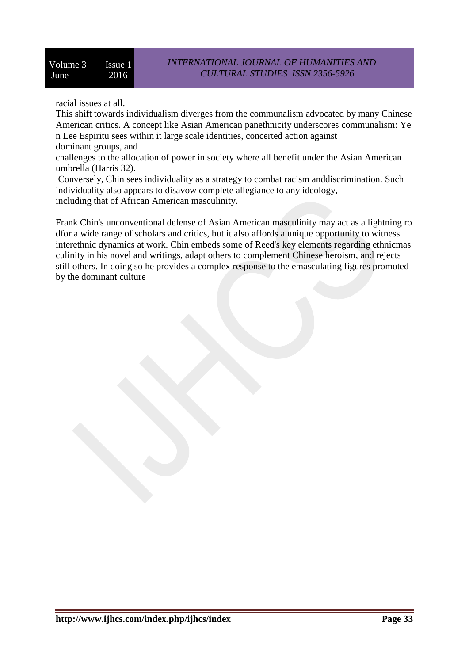racial issues at all.

This shift towards individualism diverges from the communalism advocated by many Chinese American critics. A concept like Asian American panethnicity underscores communalism: Ye n Lee Espiritu sees within it large scale identities, concerted action against

dominant groups, and

challenges to the allocation of power in society where all benefit under the Asian American umbrella (Harris 32).

Conversely, Chin sees individuality as a strategy to combat racism anddiscrimination. Such individuality also appears to disavow complete allegiance to any ideology, including that of African American masculinity.

Frank Chin's unconventional defense of Asian American masculinity may act as a lightning ro dfor a wide range of scholars and critics, but it also affords a unique opportunity to witness interethnic dynamics at work. Chin embeds some of Reed's key elements regarding ethnicmas culinity in his novel and writings, adapt others to complement Chinese heroism, and rejects still others. In doing so he provides a complex response to the emasculating figures promoted by the dominant culture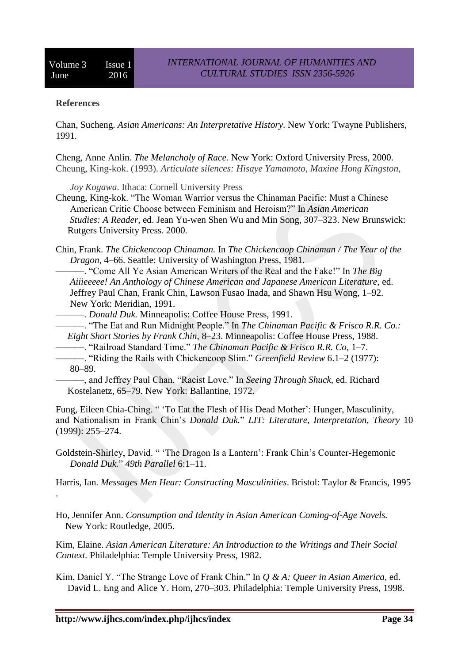### **References**

.

Chan, Sucheng. *Asian Americans: An Interpretative History*. New York: Twayne Publishers, 1991.

Cheng, Anne Anlin. *The Melancholy of Race.* New York: Oxford University Press, 2000. Cheung, King-kok. (1993). *Articulate silences: Hisaye Yamamoto, Maxine Hong Kingston,*

 *Joy Kogawa*. Ithaca: Cornell University Press

- Cheung, King-kok. "The Woman Warrior versus the Chinaman Pacific: Must a Chinese American Critic Choose between Feminism and Heroism?" In *Asian American Studies: A Reader,* ed. Jean Yu-wen Shen Wu and Min Song, 307–323. New Brunswick: Rutgers University Press. 2000.
- Chin, Frank. *The Chickencoop Chinaman.* In *The Chickencoop Chinaman / The Year of the Dragon,* 4–66. Seattle: University of Washington Press, 1981.
	- ———. "Come All Ye Asian American Writers of the Real and the Fake!" In *The Big Aiiieeeee! An Anthology of Chinese American and Japanese American Literature,* ed. Jeffrey Paul Chan, Frank Chin, Lawson Fusao Inada, and Shawn Hsu Wong, 1–92. New York: Meridian, 1991.
	- ———. *Donald Duk.* Minneapolis: Coffee House Press, 1991.
- ———. "The Eat and Run Midnight People." In *The Chinaman Pacific & Frisco R.R. Co.: Eight Short Stories by Frank Chin,* 8–23. Minneapolis: Coffee House Press, 1988.
	- ———. "Railroad Standard Time." *The Chinaman Pacific & Frisco R.R. Co,* 1–7.
- ———. "Riding the Rails with Chickencoop Slim." *Greenfield Review* 6.1–2 (1977): 80–89.
- ———, and Jeffrey Paul Chan. "Racist Love." In *Seeing Through Shuck,* ed. Richard Kostelanetz, 65–79. New York: Ballantine, 1972.

Fung, Eileen Chia-Ching. " 'To Eat the Flesh of His Dead Mother': Hunger, Masculinity, and Nationalism in Frank Chin's *Donald Duk.*" *LIT: Literature, Interpretation, Theory* 10 (1999): 255–274.

Goldstein-Shirley, David. " 'The Dragon Is a Lantern': Frank Chin's Counter-Hegemonic  *Donald Duk.*" *49th Parallel* 6:1–11.

Harris, Ian. *Messages Men Hear: Constructing Masculinities*. Bristol: Taylor & Francis, 1995

Ho, Jennifer Ann. *Consumption and Identity in Asian American Coming-of-Age Novels.* New York: Routledge, 2005.

Kim, Elaine. *Asian American Literature: An Introduction to the Writings and Their Social Context.* Philadelphia: Temple University Press, 1982.

Kim, Daniel Y. "The Strange Love of Frank Chin." In *Q & A: Queer in Asian America,* ed. David L. Eng and Alice Y. Hom, 270–303. Philadelphia: Temple University Press, 1998.